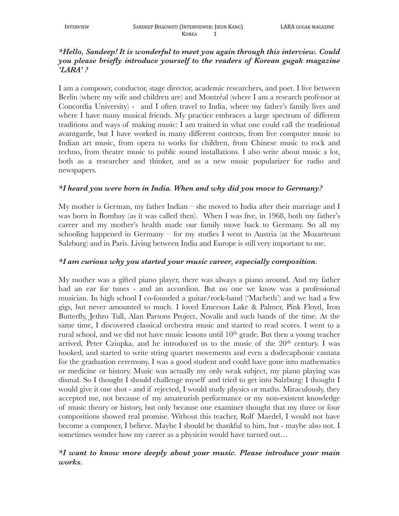## *\*Hello, Sandeep! It is wonderful to meet you again through this interview. Could you please briefly introduce yourself to the readers of Korean gugak magazine 'LARA' ?*

I am a composer, conductor, stage director, academic researchers, and poet. I live between Berlin (where my wife and children are) and Montréal (where I am a research professor at Concordia University) - and I often travel to India, where my father's family lives and where I have many musical friends. My practice embraces a large spectrum of different traditions and ways of making music: I am trained in what one could call the traditional avantgarde, but I have worked in many different contexts, from live computer music to Indian art music, from opera to works for children, from Chinese music to rock and techno, from theatre music to public sound installations. I also write about music a lot, both as a researcher and thinker, and as a new music popularizer for radio and newspapers.

#### *\*I heard you were born in India. When and why did you move to Germany?*

My mother is German, my father Indian – she moved to India after their marriage and I was born in Bombay (as it was called then). When I was five, in 1968, both my father's career and my mother's health made our family move back to Germany. So all my schooling happened in Germany – for my studies I went to Austria (at the Mozarteum Salzburg) and in Paris. Living between India and Europe is still very important to me.

## *\*I am curious why you started your music career, especially composition.*

My mother was a gifted piano player, there was always a piano around. And my father had an ear for tunes - and an accordion. But no one we know was a professional musician. In high school I co-founded a guitar/rock-band ('Macbeth') and we had a few gigs, but never amounted to much. I loved Emerson Lake & Palmer, Pink Floyd, Iron Butterfly, Jethro Tull, Alan Parsons Project, Novalis and such bands of the time. At the same time, I discovered classical orchestra music and started to read scores. I went to a rural school, and we did not have music lessons until  $10<sup>th</sup>$  grade. But then a young teacher arrived, Peter Cziupka, and he introduced us to the music of the  $20<sup>th</sup>$  century. I was hooked, and started to write string quartet movements and even a dodecaphonic cantata for the graduation ceremony. I was a good student and could have gone into mathematics or medicine or history. Music was actually my only weak subject, my piano playing was dismal. So I thought I should challenge myself and tried to get into Salzburg: I thought I would give it one shot - and if rejected, I would study physics or maths. Miraculously, they accepted me, not because of my amateurish performance or my non-existent knowledge of music theory or history, but only because one examiner thought that my three or four compositions showed real promise. Without this teacher, Rolf Maedel, I would not have become a composer, I believe. Maybe I should be thankful to him, but - maybe also not. I sometimes wonder how my career as a physicist would have turned out…

# *\*I want to know more deeply about your music. Please introduce your main works.*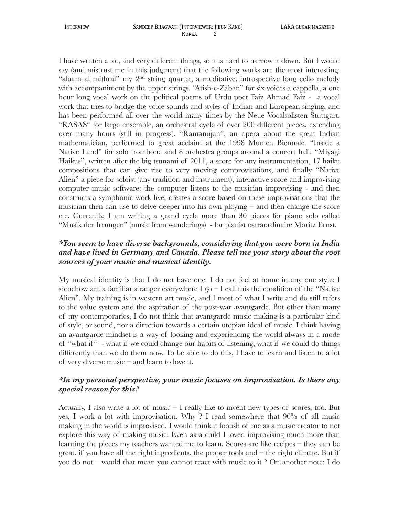I have written a lot, and very different things, so it is hard to narrow it down. But I would say (and mistrust me in this judgment) that the following works are the most interesting: "alaam al mithral" my 2nd string quartet, a meditative, introspective long cello melody with accompaniment by the upper strings. "Atish-e-Zaban" for six voices a cappella, a one hour long vocal work on the political poems of Urdu poet Faiz Ahmad Faiz - a vocal work that tries to bridge the voice sounds and styles of Indian and European singing, and has been performed all over the world many times by the Neue Vocalsolisten Stuttgart. "RASAS" for large ensemble, an orchestral cycle of over 200 different pieces, extending over many hours (still in progress). "Ramanujan", an opera about the great Indian mathematician, performed to great acclaim at the 1998 Munich Biennale. "Inside a Native Land" for solo trombone and 8 orchestra groups around a concert hall. "Miyagi Haikus", written after the big tsunami of 2011, a score for any instrumentation, 17 haiku compositions that can give rise to very moving comprovisations, and finally "Native Alien" a piece for soloist (any tradition and instrument), interactive score and improvising computer music software: the computer listens to the musician improvising - and then constructs a symphonic work live, creates a score based on these improvisations that the musician then can use to delve deeper into his own playing – and then change the score etc. Currently, I am writing a grand cycle more than 30 pieces for piano solo called "Musik der Irrungen" (music from wanderings) - for pianist extraordinaire Moritz Ernst.

## *\*You seem to have diverse backgrounds, considering that you were born in India and have lived in Germany and Canada. Please tell me your story about the root sources of your music and musical identity.*

My musical identity is that I do not have one. I do not feel at home in any one style: I somehow am a familiar stranger everywhere I go  $-$  I call this the condition of the "Native" Alien". My training is in western art music, and I most of what I write and do still refers to the value system and the aspiration of the post-war avantgarde. But other than many of my contemporaries, I do not think that avantgarde music making is a particular kind of style, or sound, nor a direction towards a certain utopian ideal of music. I think having an avantgarde mindset is a way of looking and experiencing the world always in a mode of "what if " - what if we could change our habits of listening, what if we could do things differently than we do them now. To be able to do this, I have to learn and listen to a lot of very diverse music – and learn to love it.

#### *\*In my personal perspective, your music focuses on improvisation. Is there any special reason for this?*

Actually, I also write a lot of music – I really like to invent new types of scores, too. But yes, I work a lot with improvisation. Why ? I read somewhere that 90% of all music making in the world is improvised. I would think it foolish of me as a music creator to not explore this way of making music. Even as a child I loved improvising much more than learning the pieces my teachers wanted me to learn. Scores are like recipes – they can be great, if you have all the right ingredients, the proper tools and – the right climate. But if you do not – would that mean you cannot react with music to it ? On another note: I do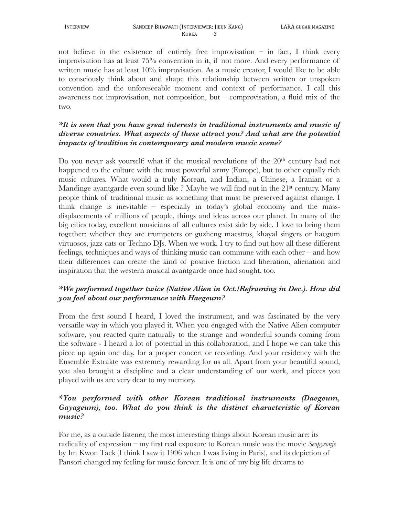not believe in the existence of entirely free improvisation  $-$  in fact, I think every improvisation has at least 75% convention in it, if not more. And every performance of written music has at least  $10\%$  improvisation. As a music creator, I would like to be able to consciously think about and shape this relationship between written or unspoken convention and the unforeseeable moment and context of performance. I call this awareness not improvisation, not composition, but  $-$  comprovisation, a fluid mix of the two.

## *\*It is seen that you have great interests in traditional instruments and music of diverse countries. What aspects of these attract you? And what are the potential impacts of tradition in contemporary and modern music scene?*

Do you never ask yourself: what if the musical revolutions of the 20<sup>th</sup> century had not happened to the culture with the most powerful army (Europe), but to other equally rich music cultures. What would a truly Korean, and Indian, a Chinese, a Iranian or a Mandinge avantgarde even sound like ? Maybe we will find out in the  $21<sup>st</sup>$  century. Many people think of traditional music as something that must be preserved against change. I think change is inevitable – especially in today's global economy and the massdisplacements of millions of people, things and ideas across our planet. In many of the big cities today, excellent musicians of all cultures exist side by side. I love to bring them together: whether they are trumpeters or guzheng maestros, khayal singers or haegum virtuosos, jazz cats or Techno DJs. When we work, I try to find out how all these different feelings, techniques and ways of thinking music can commune with each other – and how their differences can create the kind of positive friction and liberation, alienation and inspiration that the western musical avantgarde once had sought, too.

## *\*We performed together twice (Native Alien in Oct./Reframing in Dec.). How did you feel about our performance with Haegeum?*

From the first sound I heard, I loved the instrument, and was fascinated by the very versatile way in which you played it. When you engaged with the Native Alien computer software, you reacted quite naturally to the strange and wonderful sounds coming from the software - I heard a lot of potential in this collaboration, and I hope we can take this piece up again one day, for a proper concert or recording. And your residency with the Ensemble Extrakte was extremely rewarding for us all. Apart from your beautiful sound, you also brought a discipline and a clear understanding of our work, and pieces you played with us are very dear to my memory.

#### *\*You performed with other Korean traditional instruments (Daegeum, Gayageum), too. What do you think is the distinct characteristic of Korean music?*

For me, as a outside listener, the most interesting things about Korean music are: its radicality of expression – my first real exposure to Korean music was the movie *Seopyeonje* by Im Kwon Taek (I think I saw it 1996 when I was living in Paris), and its depiction of Pansori changed my feeling for music forever. It is one of my big life dreams to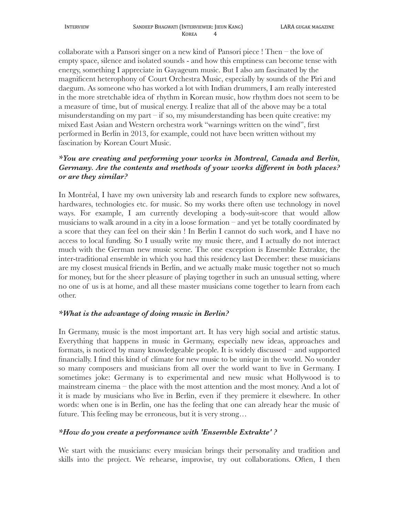collaborate with a Pansori singer on a new kind of Pansori piece ! Then – the love of empty space, silence and isolated sounds - and how this emptiness can become tense with energy, something I appreciate in Gayageum music. But I also am fascinated by the magnificent heterophony of Court Orchestra Music, especially by sounds of the Piri and daegum. As someone who has worked a lot with Indian drummers, I am really interested in the more stretchable idea of rhythm in Korean music, how rhythm does not seem to be a measure of time, but of musical energy. I realize that all of the above may be a total misunderstanding on my part – if so, my misunderstanding has been quite creative: my mixed East Asian and Western orchestra work "warnings written on the wind", first performed in Berlin in 2013, for example, could not have been written without my fascination by Korean Court Music.

## *\*You are creating and performing your works in Montreal, Canada and Berlin, Germany. Are the contents and methods of your works different in both places? or are they similar?*

In Montréal, I have my own university lab and research funds to explore new softwares, hardwares, technologies etc. for music. So my works there often use technology in novel ways. For example, I am currently developing a body-suit-score that would allow musicians to walk around in a city in a loose formation – and yet be totally coordinated by a score that they can feel on their skin ! In Berlin I cannot do such work, and I have no access to local funding. So I usually write my music there, and I actually do not interact much with the German new music scene. The one exception is Ensemble Extrakte, the inter-traditional ensemble in which you had this residency last December: these musicians are my closest musical friends in Berlin, and we actually make music together not so much for money, but for the sheer pleasure of playing together in such an unusual setting, where no one of us is at home, and all these master musicians come together to learn from each other.

## *\*What is the advantage of doing music in Berlin?*

In Germany, music is the most important art. It has very high social and artistic status. Everything that happens in music in Germany, especially new ideas, approaches and formats, is noticed by many knowledgeable people. It is widely discussed – and supported financially. I find this kind of climate for new music to be unique in the world. No wonder so many composers and musicians from all over the world want to live in Germany. I sometimes joke: Germany is to experimental and new music what Hollywood is to mainstream cinema – the place with the most attention and the most money. And a lot of it is made by musicians who live in Berlin, even if they premiere it elsewhere. In other words: when one is in Berlin, one has the feeling that one can already hear the music of future. This feeling may be erroneous, but it is very strong…

#### *\*How do you create a performance with 'Ensemble Extrakte' ?*

We start with the musicians: every musician brings their personality and tradition and skills into the project. We rehearse, improvise, try out collaborations. Often, I then